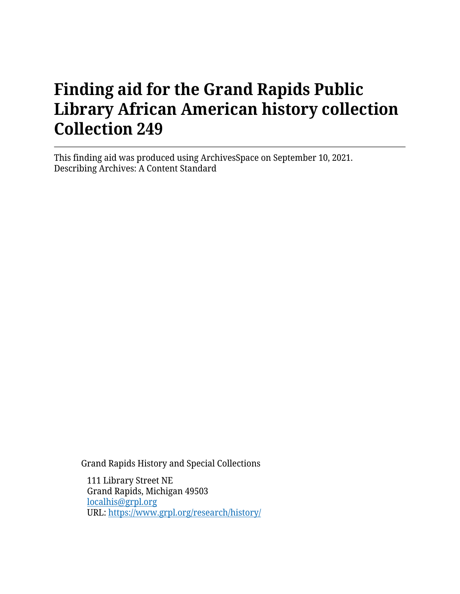This finding aid was produced using ArchivesSpace on September 10, 2021. Describing Archives: A Content Standard

Grand Rapids History and Special Collections

111 Library Street NE Grand Rapids, Michigan 49503 [localhis@grpl.org](mailto:localhis@grpl.org) URL:<https://www.grpl.org/research/history/>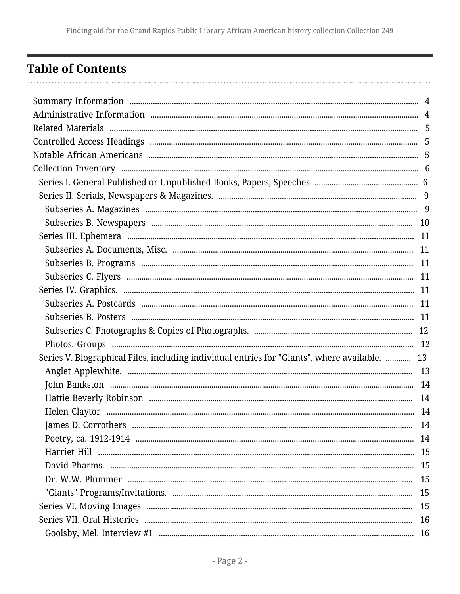# <span id="page-1-0"></span>**Table of Contents**

| Series V. Biographical Files, including individual entries for "Giants", where available.  13 |  |
|-----------------------------------------------------------------------------------------------|--|
|                                                                                               |  |
|                                                                                               |  |
|                                                                                               |  |
|                                                                                               |  |
|                                                                                               |  |
|                                                                                               |  |
|                                                                                               |  |
|                                                                                               |  |
|                                                                                               |  |
|                                                                                               |  |
|                                                                                               |  |
|                                                                                               |  |
|                                                                                               |  |
|                                                                                               |  |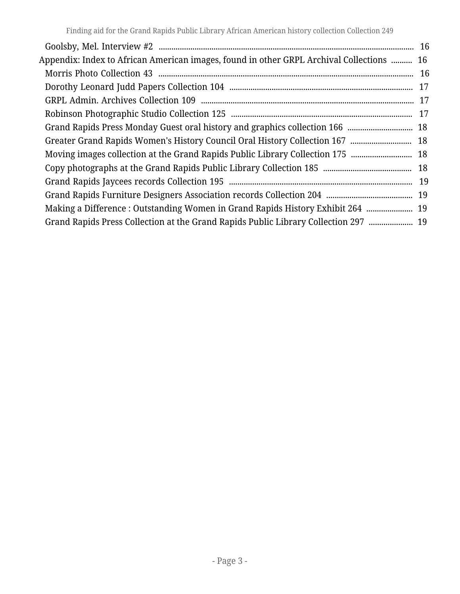| Appendix: Index to African American images, found in other GRPL Archival Collections ……… 16 |  |
|---------------------------------------------------------------------------------------------|--|
|                                                                                             |  |
|                                                                                             |  |
|                                                                                             |  |
|                                                                                             |  |
|                                                                                             |  |
|                                                                                             |  |
|                                                                                             |  |
|                                                                                             |  |
|                                                                                             |  |
|                                                                                             |  |
| Making a Difference: Outstanding Women in Grand Rapids History Exhibit 264  19              |  |
| Grand Rapids Press Collection at the Grand Rapids Public Library Collection 297  19         |  |
|                                                                                             |  |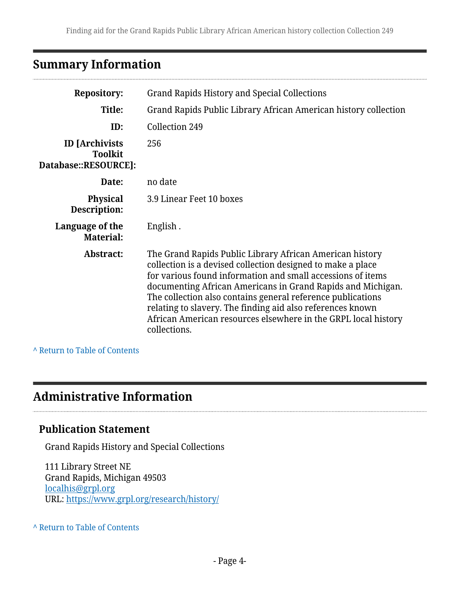# <span id="page-3-0"></span>**Summary Information**

| <b>Repository:</b>                                              | Grand Rapids History and Special Collections                                                                                                                                                                                                                                                                                                                                                                                                                         |
|-----------------------------------------------------------------|----------------------------------------------------------------------------------------------------------------------------------------------------------------------------------------------------------------------------------------------------------------------------------------------------------------------------------------------------------------------------------------------------------------------------------------------------------------------|
| Title:                                                          | Grand Rapids Public Library African American history collection                                                                                                                                                                                                                                                                                                                                                                                                      |
| ID:                                                             | Collection 249                                                                                                                                                                                                                                                                                                                                                                                                                                                       |
| <b>ID</b> [Archivists<br><b>Toolkit</b><br>Database::RESOURCE]: | 256                                                                                                                                                                                                                                                                                                                                                                                                                                                                  |
| Date:                                                           | no date                                                                                                                                                                                                                                                                                                                                                                                                                                                              |
| <b>Physical</b><br>Description:                                 | 3.9 Linear Feet 10 boxes                                                                                                                                                                                                                                                                                                                                                                                                                                             |
| Language of the<br><b>Material:</b>                             | English.                                                                                                                                                                                                                                                                                                                                                                                                                                                             |
| Abstract:                                                       | The Grand Rapids Public Library African American history<br>collection is a devised collection designed to make a place<br>for various found information and small accessions of items<br>documenting African Americans in Grand Rapids and Michigan.<br>The collection also contains general reference publications<br>relating to slavery. The finding aid also references known<br>African American resources elsewhere in the GRPL local history<br>collections. |

**^** [Return to Table of Contents](#page-1-0)

# <span id="page-3-1"></span>**Administrative Information**

### **Publication Statement**

Grand Rapids History and Special Collections

111 Library Street NE Grand Rapids, Michigan 49503 [localhis@grpl.org](mailto:localhis@grpl.org) URL:<https://www.grpl.org/research/history/>

#### **^** [Return to Table of Contents](#page-1-0)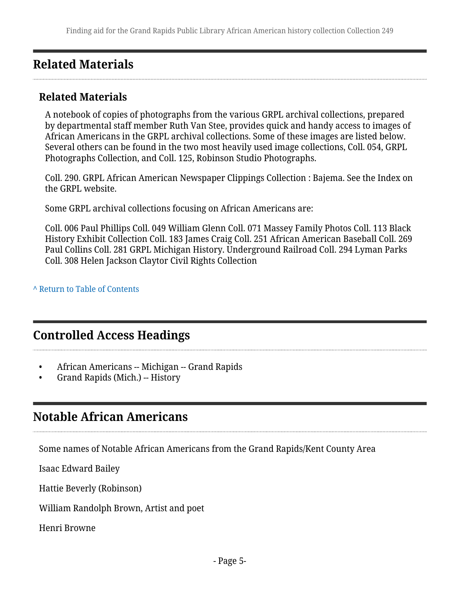# <span id="page-4-0"></span>**Related Materials**

# **Related Materials**

A notebook of copies of photographs from the various GRPL archival collections, prepared by departmental staff member Ruth Van Stee, provides quick and handy access to images of African Americans in the GRPL archival collections. Some of these images are listed below. Several others can be found in the two most heavily used image collections, Coll. 054, GRPL Photographs Collection, and Coll. 125, Robinson Studio Photographs.

Coll. 290. GRPL African American Newspaper Clippings Collection : Bajema. See the Index on the GRPL website.

Some GRPL archival collections focusing on African Americans are:

Coll. 006 Paul Phillips Coll. 049 William Glenn Coll. 071 Massey Family Photos Coll. 113 Black History Exhibit Collection Coll. 183 James Craig Coll. 251 African American Baseball Coll. 269 Paul Collins Coll. 281 GRPL Michigan History. Underground Railroad Coll. 294 Lyman Parks Coll. 308 Helen Jackson Claytor Civil Rights Collection

**^** [Return to Table of Contents](#page-1-0)

# <span id="page-4-1"></span>**Controlled Access Headings**

- African Americans -- Michigan -- Grand Rapids
- Grand Rapids (Mich.) -- History

# <span id="page-4-2"></span>**Notable African Americans**

Some names of Notable African Americans from the Grand Rapids/Kent County Area

Isaac Edward Bailey

Hattie Beverly (Robinson)

William Randolph Brown, Artist and poet

Henri Browne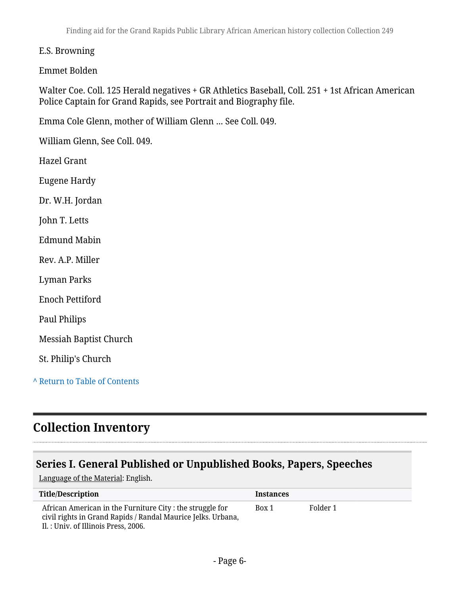#### E.S. Browning

#### Emmet Bolden

Walter Coe. Coll. 125 Herald negatives + GR Athletics Baseball, Coll. 251 + 1st African American Police Captain for Grand Rapids, see Portrait and Biography file.

Emma Cole Glenn, mother of William Glenn … See Coll. 049.

William Glenn, See Coll. 049.

Hazel Grant

Eugene Hardy

Dr. W.H. Jordan

John T. Letts

Edmund Mabin

Rev. A.P. Miller

Lyman Parks

Enoch Pettiford

Paul Philips

Messiah Baptist Church

St. Philip's Church

**^** [Return to Table of Contents](#page-1-0)

# <span id="page-5-0"></span>**Collection Inventory**

### <span id="page-5-1"></span>**Series I. General Published or Unpublished Books, Papers, Speeches**

Language of the Material: English.

| <b>Title/Description</b>                                                                                                                                          | <b>Instances</b> |          |
|-------------------------------------------------------------------------------------------------------------------------------------------------------------------|------------------|----------|
| African American in the Furniture City : the struggle for<br>civil rights in Grand Rapids / Randal Maurice Jelks. Urbana,<br>Il. : Univ. of Illinois Press, 2006. | Box 1            | Folder 1 |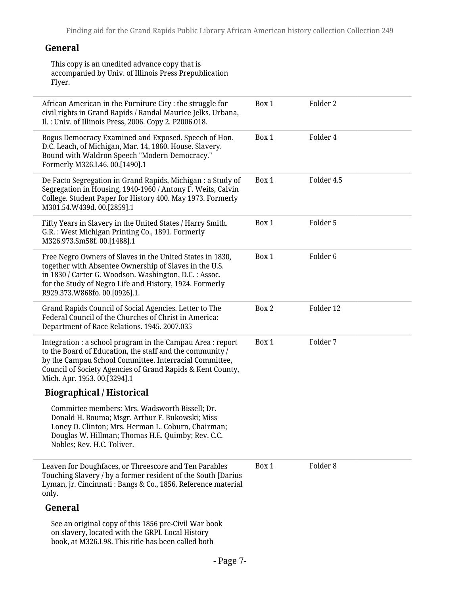#### **General**

This copy is an unedited advance copy that is accompanied by Univ. of Illinois Press Prepublication Flyer.

| African American in the Furniture City: the struggle for<br>civil rights in Grand Rapids / Randal Maurice Jelks. Urbana,<br>Il.: Univ. of Illinois Press, 2006. Copy 2. P2006.018.                                                                                             | Box 1 | Folder 2            |
|--------------------------------------------------------------------------------------------------------------------------------------------------------------------------------------------------------------------------------------------------------------------------------|-------|---------------------|
| Bogus Democracy Examined and Exposed. Speech of Hon.<br>D.C. Leach, of Michigan, Mar. 14, 1860. House. Slavery.<br>Bound with Waldron Speech "Modern Democracy."<br>Formerly M326.L46. 00.[1490].1                                                                             | Box 1 | Folder 4            |
| De Facto Segregation in Grand Rapids, Michigan : a Study of<br>Segregation in Housing, 1940-1960 / Antony F. Weits, Calvin<br>College. Student Paper for History 400. May 1973. Formerly<br>M301.54.W439d. 00.[2859].1                                                         | Box 1 | Folder 4.5          |
| Fifty Years in Slavery in the United States / Harry Smith.<br>G.R.: West Michigan Printing Co., 1891. Formerly<br>M326.973.Sm58f. 00.[1488].1                                                                                                                                  | Box 1 | Folder 5            |
| Free Negro Owners of Slaves in the United States in 1830,<br>together with Absentee Ownership of Slaves in the U.S.<br>in 1830 / Carter G. Woodson. Washington, D.C. : Assoc.<br>for the Study of Negro Life and History, 1924. Formerly<br>R929.373.W868fo. 00.[0926].1.      | Box 1 | Folder <sub>6</sub> |
| Grand Rapids Council of Social Agencies. Letter to The<br>Federal Council of the Churches of Christ in America:<br>Department of Race Relations. 1945. 2007.035                                                                                                                | Box 2 | Folder 12           |
| Integration : a school program in the Campau Area : report<br>to the Board of Education, the staff and the community /<br>by the Campau School Committee. Interracial Committee,<br>Council of Society Agencies of Grand Rapids & Kent County,<br>Mich. Apr. 1953. 00.[3294].1 | Box 1 | Folder 7            |
| <b>Biographical / Historical</b>                                                                                                                                                                                                                                               |       |                     |
| Committee members: Mrs. Wadsworth Bissell; Dr.<br>Donald H. Bouma; Msgr. Arthur F. Bukowski; Miss<br>Loney O. Clinton; Mrs. Herman L. Coburn, Chairman;<br>Douglas W. Hillman; Thomas H.E. Quimby; Rev. C.C.<br>Nobles; Rev. H.C. Toliver.                                     |       |                     |
| Leaven for Doughfaces, or Threescore and Ten Parables<br>Touching Slavery / by a former resident of the South [Darius<br>Lyman, jr. Cincinnati : Bangs & Co., 1856. Reference material<br>only.                                                                                | Box 1 | Folder <sub>8</sub> |
| General                                                                                                                                                                                                                                                                        |       |                     |
| See an original copy of this 1856 pre-Civil War book<br>on slavery, located with the GRPL Local History<br>book, at M326.L98. This title has been called both                                                                                                                  |       |                     |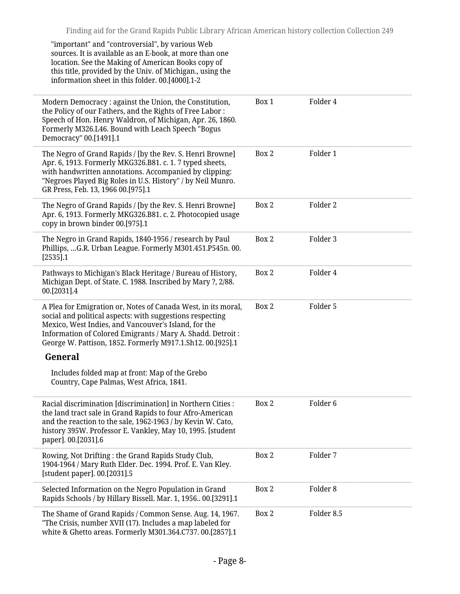| "important" and "controversial", by various Web<br>sources. It is available as an E-book, at more than one<br>location. See the Making of American Books copy of<br>this title, provided by the Univ. of Michigan., using the<br>information sheet in this folder. 00.[4000].1-2                                |       |                     |
|-----------------------------------------------------------------------------------------------------------------------------------------------------------------------------------------------------------------------------------------------------------------------------------------------------------------|-------|---------------------|
| Modern Democracy : against the Union, the Constitution,<br>the Policy of our Fathers, and the Rights of Free Labor:<br>Speech of Hon. Henry Waldron, of Michigan, Apr. 26, 1860.<br>Formerly M326.L46. Bound with Leach Speech "Bogus<br>Democracy" 00.[1491].1                                                 | Box 1 | Folder 4            |
| The Negro of Grand Rapids / [by the Rev. S. Henri Browne]<br>Apr. 6, 1913. Formerly MKG326.B81. c. 1. 7 typed sheets,<br>with handwritten annotations. Accompanied by clipping:<br>"Negroes Played Big Roles in U.S. History" / by Neil Munro.<br>GR Press, Feb. 13, 1966 00.[975].1                            | Box 2 | Folder 1            |
| The Negro of Grand Rapids / [by the Rev. S. Henri Browne]<br>Apr. 6, 1913. Formerly MKG326.B81. c. 2. Photocopied usage<br>copy in brown binder 00.[975].1                                                                                                                                                      | Box 2 | Folder 2            |
| The Negro in Grand Rapids, 1840-1956 / research by Paul<br>Phillips, G.R. Urban League. Formerly M301.451.P545n. 00.<br>$[2535]$ .1                                                                                                                                                                             | Box 2 | Folder 3            |
| Pathways to Michigan's Black Heritage / Bureau of History,<br>Michigan Dept. of State. C. 1988. Inscribed by Mary ?, 2/88.<br>00.[2031].4                                                                                                                                                                       | Box 2 | Folder 4            |
| A Plea for Emigration or, Notes of Canada West, in its moral,<br>social and political aspects: with suggestions respecting<br>Mexico, West Indies, and Vancouver's Island, for the<br>Information of Colored Emigrants / Mary A. Shadd. Detroit :<br>George W. Pattison, 1852. Formerly M917.1.Sh12. 00.[925].1 | Box 2 | Folder 5            |
| <b>General</b>                                                                                                                                                                                                                                                                                                  |       |                     |
| Includes folded map at front: Map of the Grebo<br>Country, Cape Palmas, West Africa, 1841.                                                                                                                                                                                                                      |       |                     |
| Racial discrimination [discrimination] in Northern Cities :<br>the land tract sale in Grand Rapids to four Afro-American<br>and the reaction to the sale, 1962-1963 / by Kevin W. Cato,<br>history 395W. Professor E. Vankley, May 10, 1995. [student<br>paper]. 00.[2031].6                                    | Box 2 | Folder <sub>6</sub> |
| Rowing, Not Drifting : the Grand Rapids Study Club,<br>1904-1964 / Mary Ruth Elder. Dec. 1994. Prof. E. Van Kley.<br>[student paper]. 00.[2031].5                                                                                                                                                               | Box 2 | Folder 7            |
| Selected Information on the Negro Population in Grand<br>Rapids Schools / by Hillary Bissell. Mar. 1, 1956 00.[3291].1                                                                                                                                                                                          | Box 2 | Folder <sub>8</sub> |
| The Shame of Grand Rapids / Common Sense. Aug. 14, 1967.<br>"The Crisis, number XVII (17). Includes a map labeled for<br>white & Ghetto areas. Formerly M301.364.C737.00.[2857].1                                                                                                                               | Box 2 | Folder 8.5          |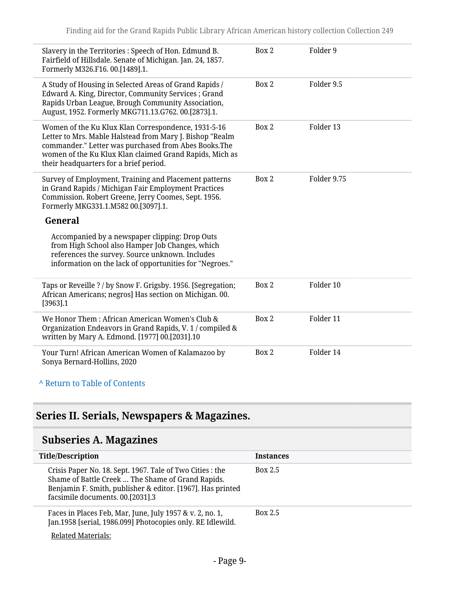| Slavery in the Territories : Speech of Hon. Edmund B.<br>Fairfield of Hillsdale. Senate of Michigan. Jan. 24, 1857.<br>Formerly M326.F16.00.[1489].1.                                                                                                                        | Box 2 | Folder 9    |
|------------------------------------------------------------------------------------------------------------------------------------------------------------------------------------------------------------------------------------------------------------------------------|-------|-------------|
| A Study of Housing in Selected Areas of Grand Rapids /<br>Edward A. King, Director, Community Services; Grand<br>Rapids Urban League, Brough Community Association,<br>August, 1952. Formerly MKG711.13.G762. 00.[2873].1.                                                   | Box 2 | Folder 9.5  |
| Women of the Ku Klux Klan Correspondence, 1931-5-16<br>Letter to Mrs. Mable Halstead from Mary J. Bishop "Realm<br>commander." Letter was purchased from Abes Books.The<br>women of the Ku Klux Klan claimed Grand Rapids, Mich as<br>their headquarters for a brief period. | Box 2 | Folder 13   |
| Survey of Employment, Training and Placement patterns<br>in Grand Rapids / Michigan Fair Employment Practices<br>Commission. Robert Greene, Jerry Coomes, Sept. 1956.<br>Formerly MKG331.1.M582 00.[3097].1.                                                                 | Box 2 | Folder 9.75 |
| General                                                                                                                                                                                                                                                                      |       |             |
| Accompanied by a newspaper clipping: Drop Outs<br>from High School also Hamper Job Changes, which<br>references the survey. Source unknown. Includes<br>information on the lack of opportunities for "Negroes."                                                              |       |             |
| Taps or Reveille ? / by Snow F. Grigsby. 1956. [Segregation;<br>African Americans; negros] Has section on Michigan. 00.<br>[3963] .1                                                                                                                                         | Box 2 | Folder 10   |
| We Honor Them: African American Women's Club &<br>Organization Endeavors in Grand Rapids, V. 1 / compiled &<br>written by Mary A. Edmond. [1977] 00.[2031].10                                                                                                                | Box 2 | Folder 11   |
| Your Turn! African American Women of Kalamazoo by<br>Sonya Bernard-Hollins, 2020                                                                                                                                                                                             | Box 2 | Folder 14   |
| A Return to Table of Contents                                                                                                                                                                                                                                                |       |             |

# <span id="page-8-0"></span>**Series II. Serials, Newspapers & Magazines.**

# <span id="page-8-1"></span>**Subseries A. Magazines**

| <b>Title/Description</b>                                                                                                                                                                                         | <b>Instances</b> |
|------------------------------------------------------------------------------------------------------------------------------------------------------------------------------------------------------------------|------------------|
| Crisis Paper No. 18. Sept. 1967. Tale of Two Cities : the<br>Shame of Battle Creek  The Shame of Grand Rapids.<br>Benjamin F. Smith, publisher & editor. [1967]. Has printed<br>facsimile documents. 00.[2031].3 | Box 2.5          |
| Faces in Places Feb, Mar, June, July 1957 & v. 2, no. 1,<br>Jan.1958 [serial, 1986.099] Photocopies only. RE Idlewild.                                                                                           | <b>Box 2.5</b>   |
| <b>Related Materials:</b>                                                                                                                                                                                        |                  |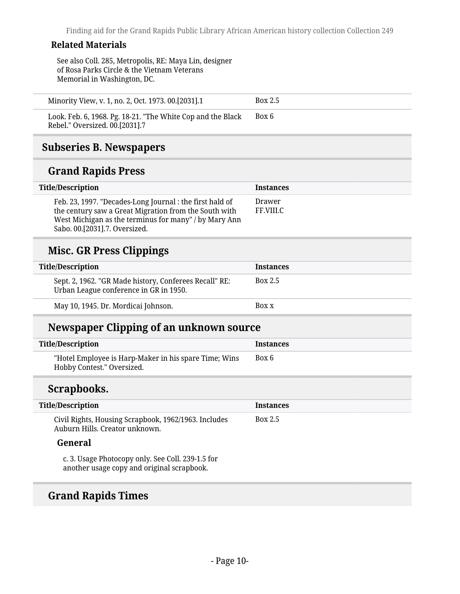#### **Related Materials**

See also Coll. 285, Metropolis, RE: Maya Lin, designer of Rosa Parks Circle & the Vietnam Veterans Memorial in Washington, DC.

| Minority View, v. 1, no. 2, Oct. 1973. 00.[2031].1 | <b>Box 2.5</b> |  |
|----------------------------------------------------|----------------|--|
|                                                    |                |  |

Look. Feb. 6, 1968. Pg. 18-21. "The White Cop and the Black Rebel." Oversized. 00.[2031].7 Box 6

#### <span id="page-9-0"></span>**Subseries B. Newspapers**

# **Grand Rapids Press**

| Title/Description                                                                                                                                                                                           | <b>Instances</b>    |  |
|-------------------------------------------------------------------------------------------------------------------------------------------------------------------------------------------------------------|---------------------|--|
| Feb. 23, 1997. "Decades-Long Journal : the first hald of<br>the century saw a Great Migration from the South with<br>West Michigan as the terminus for many" / by Mary Ann<br>Sabo. 00.[2031].7. Oversized. | Drawer<br>FF.VIII.C |  |

### **Misc. GR Press Clippings**

| Title/Description                                                                                | <b>Instances</b> |
|--------------------------------------------------------------------------------------------------|------------------|
| Sept. 2, 1962. "GR Made history, Conferees Recall" RE:<br>Urban League conference in GR in 1950. | Box 2.5          |
| May 10, 1945. Dr. Mordicai Johnson.                                                              | Box x            |

### **Newspaper Clipping of an unknown source**

| Title/Description                                                                   | <b>Instances</b> |
|-------------------------------------------------------------------------------------|------------------|
| "Hotel Employee is Harp-Maker in his spare Time; Wins<br>Hobby Contest." Oversized. | Box 6            |

### **Scrapbooks.**

| <b>Title/Description</b>                                                                        | <b>Instances</b> |
|-------------------------------------------------------------------------------------------------|------------------|
| Civil Rights, Housing Scrapbook, 1962/1963. Includes<br>Auburn Hills, Creator unknown.          | <b>Box 2.5</b>   |
| General                                                                                         |                  |
| c. 3. Usage Photocopy only. See Coll. 239-1.5 for<br>another usage copy and original scrapbook. |                  |

# **Grand Rapids Times**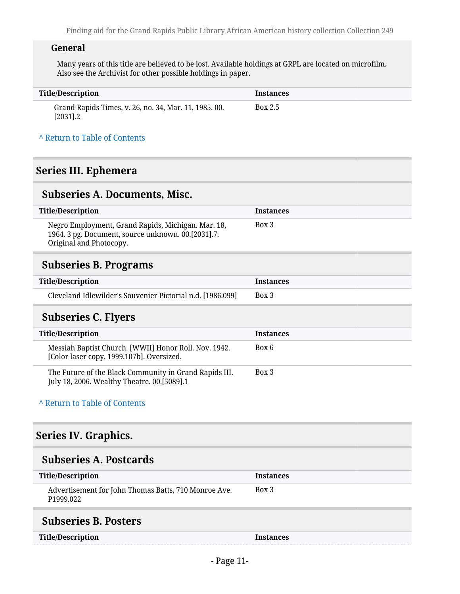#### **General**

Many years of this title are believed to be lost. Available holdings at GRPL are located on microfilm. Also see the Archivist for other possible holdings in paper.

| Title/Description                                                     | <b>Instances</b> |
|-----------------------------------------------------------------------|------------------|
| Grand Rapids Times, v. 26, no. 34, Mar. 11, 1985. 00.<br>$[2031] . 2$ | Box 2.5          |

#### **^** [Return to Table of Contents](#page-1-0)

### <span id="page-10-0"></span>**Series III. Ephemera**

#### <span id="page-10-1"></span>**Subseries A. Documents, Misc.**

| Title/Description                                                                                                                   | <b>Instances</b> |
|-------------------------------------------------------------------------------------------------------------------------------------|------------------|
| Negro Employment, Grand Rapids, Michigan. Mar. 18,<br>1964. 3 pg. Document, source unknown. 00.[2031].7.<br>Original and Photocopy. | Box 3            |

### <span id="page-10-2"></span>**Subseries B. Programs**

| <b>Title/Description</b>                                   | <b>Instances</b> |
|------------------------------------------------------------|------------------|
| Cleveland Idlewilder's Souvenier Pictorial n.d. [1986.099] | Box 3            |

### <span id="page-10-3"></span>**Subseries C. Flyers**

| <b>Title/Description</b>                                                                              | <b>Instances</b> |
|-------------------------------------------------------------------------------------------------------|------------------|
| Messiah Baptist Church. [WWII] Honor Roll. Nov. 1942.<br>[Color laser copy, 1999.107b]. Oversized.    | Box 6            |
| The Future of the Black Community in Grand Rapids III.<br>July 18, 2006. Wealthy Theatre. 00.[5089].1 | Box 3            |

#### **^** [Return to Table of Contents](#page-1-0)

### <span id="page-10-4"></span>**Series IV. Graphics.**

### <span id="page-10-5"></span>**Subseries A. Postcards**

| <b>Title/Description</b>                                                      | <b>Instances</b> |  |
|-------------------------------------------------------------------------------|------------------|--|
| Advertisement for John Thomas Batts, 710 Monroe Ave.<br>P <sub>1999.022</sub> | Box 3            |  |
| $C1$ heaving $D2$ heaters                                                     |                  |  |

#### <span id="page-10-6"></span>**Subseries B. Posters**

**Instances**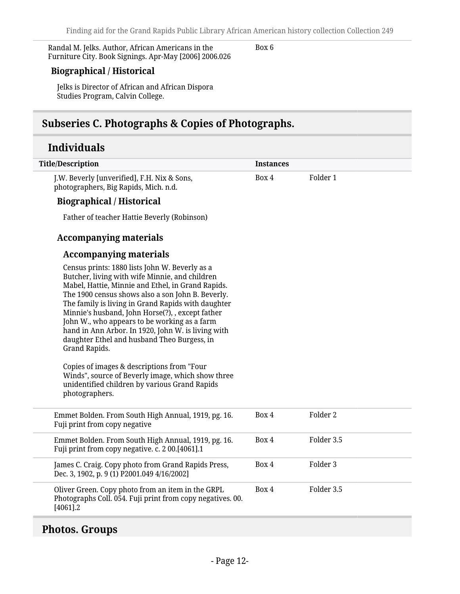Randal M. Jelks. Author, African Americans in the Furniture City. Book Signings. Apr-May [2006] 2006.026

Box 6

#### **Biographical / Historical**

Jelks is Director of African and African Dispora Studies Program, Calvin College.

# <span id="page-11-0"></span>**Subseries C. Photographs & Copies of Photographs.**

# **Individuals**

| <b>Title/Description</b>                                                                                                                                                                                                                                                                                                                                                                                                                                                                                                                                                                                                                                         | <b>Instances</b> |                     |
|------------------------------------------------------------------------------------------------------------------------------------------------------------------------------------------------------------------------------------------------------------------------------------------------------------------------------------------------------------------------------------------------------------------------------------------------------------------------------------------------------------------------------------------------------------------------------------------------------------------------------------------------------------------|------------------|---------------------|
| J.W. Beverly [unverified], F.H. Nix & Sons,<br>photographers, Big Rapids, Mich. n.d.                                                                                                                                                                                                                                                                                                                                                                                                                                                                                                                                                                             | Box 4            | Folder 1            |
| <b>Biographical / Historical</b>                                                                                                                                                                                                                                                                                                                                                                                                                                                                                                                                                                                                                                 |                  |                     |
| Father of teacher Hattie Beverly (Robinson)                                                                                                                                                                                                                                                                                                                                                                                                                                                                                                                                                                                                                      |                  |                     |
| <b>Accompanying materials</b>                                                                                                                                                                                                                                                                                                                                                                                                                                                                                                                                                                                                                                    |                  |                     |
| <b>Accompanying materials</b>                                                                                                                                                                                                                                                                                                                                                                                                                                                                                                                                                                                                                                    |                  |                     |
| Census prints: 1880 lists John W. Beverly as a<br>Butcher, living with wife Minnie, and children<br>Mabel, Hattie, Minnie and Ethel, in Grand Rapids.<br>The 1900 census shows also a son John B. Beverly.<br>The family is living in Grand Rapids with daughter<br>Minnie's husband, John Horse(?), , except father<br>John W., who appears to be working as a farm<br>hand in Ann Arbor. In 1920, John W. is living with<br>daughter Ethel and husband Theo Burgess, in<br>Grand Rapids.<br>Copies of images & descriptions from "Four<br>Winds", source of Beverly image, which show three<br>unidentified children by various Grand Rapids<br>photographers. |                  |                     |
| Emmet Bolden. From South High Annual, 1919, pg. 16.<br>Fuji print from copy negative                                                                                                                                                                                                                                                                                                                                                                                                                                                                                                                                                                             | Box 4            | Folder <sub>2</sub> |
| Emmet Bolden. From South High Annual, 1919, pg. 16.<br>Fuji print from copy negative. c. 2 00.[4061].1                                                                                                                                                                                                                                                                                                                                                                                                                                                                                                                                                           | Box 4            | Folder 3.5          |
| James C. Craig. Copy photo from Grand Rapids Press,<br>Dec. 3, 1902, p. 9 (1) P2001.049 4/16/2002]                                                                                                                                                                                                                                                                                                                                                                                                                                                                                                                                                               | Box 4            | Folder 3            |
| Oliver Green. Copy photo from an item in the GRPL<br>Photographs Coll. 054. Fuji print from copy negatives. 00.<br>$[4061]$ .2                                                                                                                                                                                                                                                                                                                                                                                                                                                                                                                                   | Box 4            | Folder 3.5          |

# <span id="page-11-1"></span>**Photos. Groups**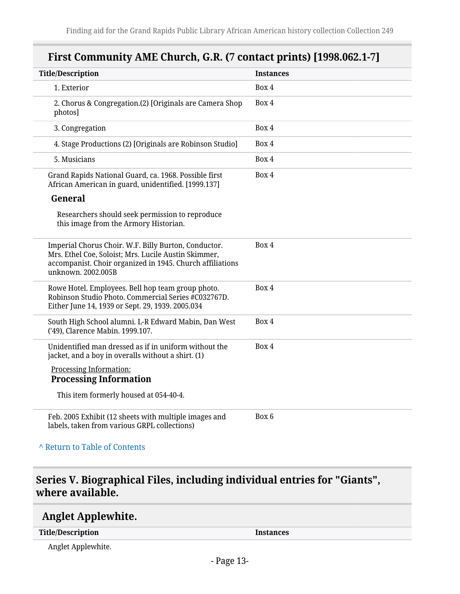# **First Community AME Church, G.R. (7 contact prints) [1998.062.1-7]**

| <b>Title/Description</b>                                                                                                                                                                        | <b>Instances</b> |
|-------------------------------------------------------------------------------------------------------------------------------------------------------------------------------------------------|------------------|
| 1. Exterior                                                                                                                                                                                     | Box 4            |
| 2. Chorus & Congregation.(2) [Originals are Camera Shop<br>photos]                                                                                                                              | Box 4            |
| 3. Congregation                                                                                                                                                                                 | Box 4            |
| 4. Stage Productions (2) [Originals are Robinson Studio]                                                                                                                                        | Box 4            |
| 5. Musicians                                                                                                                                                                                    | Box 4            |
| Grand Rapids National Guard, ca. 1968. Possible first<br>African American in guard, unidentified. [1999.137]                                                                                    | Box 4            |
| General                                                                                                                                                                                         |                  |
| Researchers should seek permission to reproduce<br>this image from the Armory Historian.                                                                                                        |                  |
| Imperial Chorus Choir. W.F. Billy Burton, Conductor.<br>Mrs. Ethel Coe, Soloist; Mrs. Lucile Austin Skimmer,<br>accompanist. Choir organized in 1945. Church affiliations<br>unknown. 2002.005B | Box 4            |
| Rowe Hotel. Employees. Bell hop team group photo.<br>Robinson Studio Photo. Commercial Series #C032767D.<br>Either June 14, 1939 or Sept. 29, 1939. 2005.034                                    | Box 4            |
| South High School alumni. L-R Edward Mabin, Dan West<br>('49), Clarence Mabin. 1999.107.                                                                                                        | Box 4            |
| Unidentified man dressed as if in uniform without the<br>jacket, and a boy in overalls without a shirt. (1)                                                                                     | Box 4            |
| Processing Information:<br><b>Processing Information</b>                                                                                                                                        |                  |
| This item formerly housed at 054-40-4.                                                                                                                                                          |                  |
| Feb. 2005 Exhibit (12 sheets with multiple images and<br>labels, taken from various GRPL collections)                                                                                           | Box 6            |

#### **^** [Return to Table of Contents](#page-1-0)

# <span id="page-12-0"></span>**Series V. Biographical Files, including individual entries for "Giants", where available.**

### <span id="page-12-1"></span>**Anglet Applewhite.**

**Title/Description Instances**

Anglet Applewhite.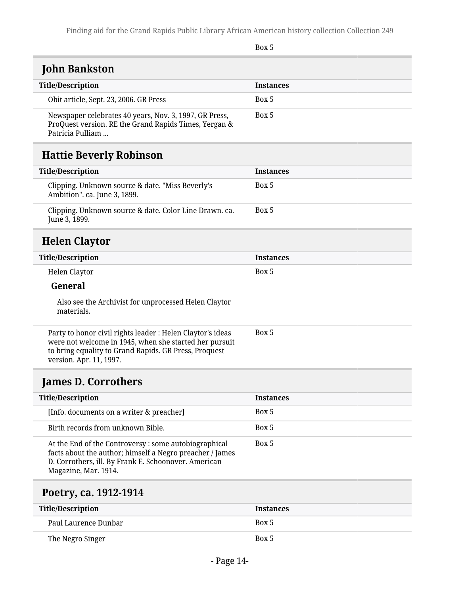Box 5

# <span id="page-13-0"></span>**John Bankston**

| <b>Title/Description</b>                                                                                                            | <b>Instances</b> |
|-------------------------------------------------------------------------------------------------------------------------------------|------------------|
| Obit article, Sept. 23, 2006. GR Press                                                                                              | Box 5            |
| Newspaper celebrates 40 years, Nov. 3, 1997, GR Press,<br>ProQuest version. RE the Grand Rapids Times, Yergan &<br>Patricia Pulliam | Box 5            |

# <span id="page-13-1"></span>**Hattie Beverly Robinson**

<span id="page-13-2"></span>

| <b>Title/Description</b>                                                                                                                                                                                 | <b>Instances</b> |
|----------------------------------------------------------------------------------------------------------------------------------------------------------------------------------------------------------|------------------|
| Clipping. Unknown source & date. "Miss Beverly's<br>Ambition". ca. June 3, 1899.                                                                                                                         | Box 5            |
| Clipping. Unknown source & date. Color Line Drawn. ca.<br>June 3, 1899.                                                                                                                                  | Box 5            |
| <b>Helen Claytor</b>                                                                                                                                                                                     |                  |
| <b>Title/Description</b>                                                                                                                                                                                 | <b>Instances</b> |
| <b>Helen Claytor</b>                                                                                                                                                                                     | Box 5            |
| General                                                                                                                                                                                                  |                  |
| Also see the Archivist for unprocessed Helen Claytor<br>materials.                                                                                                                                       |                  |
| Party to honor civil rights leader : Helen Claytor's ideas<br>were not welcome in 1945, when she started her pursuit<br>to bring equality to Grand Rapids. GR Press, Proquest<br>version. Apr. 11, 1997. | Box 5            |

# <span id="page-13-3"></span>**James D. Corrothers**

| <b>Title/Description</b>                                                                                                                                                                         | <b>Instances</b> |
|--------------------------------------------------------------------------------------------------------------------------------------------------------------------------------------------------|------------------|
| [Info. documents on a writer & preacher]                                                                                                                                                         | Box 5            |
| Birth records from unknown Bible.                                                                                                                                                                | Box 5            |
| At the End of the Controversy: some autobiographical<br>facts about the author; himself a Negro preacher / James<br>D. Corrothers, ill. By Frank E. Schoonover. American<br>Magazine, Mar. 1914. | Box 5            |

# <span id="page-13-4"></span>**Poetry, ca. 1912-1914**

| <b>Title/Description</b> | <b>Instances</b> |
|--------------------------|------------------|
| Paul Laurence Dunbar     | Box 5            |
| The Negro Singer         | Box 5            |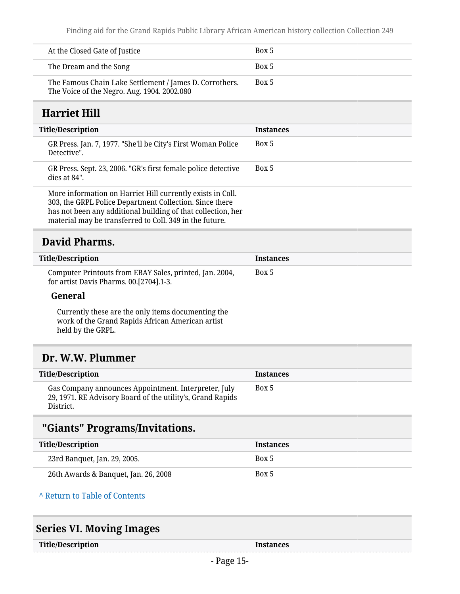| At the Closed Gate of Justice                                                                          | Box 5 |
|--------------------------------------------------------------------------------------------------------|-------|
| The Dream and the Song                                                                                 | Box 5 |
| The Famous Chain Lake Settlement / James D. Corrothers.<br>The Voice of the Negro. Aug. 1904. 2002.080 | Box 5 |

# <span id="page-14-0"></span>**Harriet Hill**

| <b>Title/Description</b>                                                                                                                                                                                                                         | <b>Instances</b> |
|--------------------------------------------------------------------------------------------------------------------------------------------------------------------------------------------------------------------------------------------------|------------------|
| GR Press. Jan. 7, 1977. "She'll be City's First Woman Police<br>Detective".                                                                                                                                                                      | Box 5            |
| GR Press. Sept. 23, 2006. "GR's first female police detective<br>$dies$ at 84".                                                                                                                                                                  | Box 5            |
| More information on Harriet Hill currently exists in Coll.<br>303, the GRPL Police Department Collection. Since there<br>has not been any additional building of that collection, her<br>material may be transferred to Coll. 349 in the future. |                  |

# <span id="page-14-1"></span>**David Pharms.**

| Title/Description                                                                                  | <b>Instances</b> |
|----------------------------------------------------------------------------------------------------|------------------|
| Computer Printouts from EBAY Sales, printed, Jan. 2004,<br>for artist Davis Pharms. 00.[2704].1-3. | Box 5            |

#### **General**

Currently these are the only items documenting the work of the Grand Rapids African American artist held by the GRPL.

# <span id="page-14-2"></span>**Dr. W.W. Plummer**

| Title/Description                                                                                                               | <b>Instances</b> |
|---------------------------------------------------------------------------------------------------------------------------------|------------------|
| Gas Company announces Appointment. Interpreter, July<br>29, 1971. RE Advisory Board of the utility's, Grand Rapids<br>District. | Box 5            |

# <span id="page-14-3"></span>**"Giants" Programs/Invitations.**

| Title/Description                    | <b>Instances</b> |
|--------------------------------------|------------------|
| 23rd Banquet, Jan. 29, 2005.         | Box 5            |
| 26th Awards & Banquet, Jan. 26, 2008 | Box 5            |

#### **^** [Return to Table of Contents](#page-1-0)

<span id="page-14-4"></span>

|  |  | <b>Series VI. Moving Images</b> |  |
|--|--|---------------------------------|--|
|--|--|---------------------------------|--|

**Instances**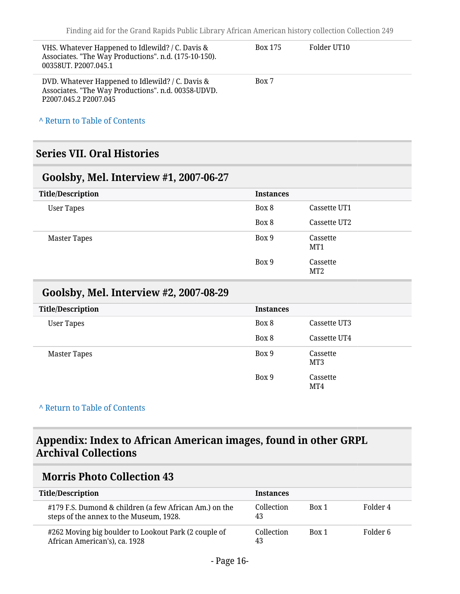| VHS. Whatever Happened to Idlewild? / C. Davis &<br>Associates. "The Way Productions". n.d. (175-10-150).<br>00358UT. P2007.045.1                        | Box 175 | Folder UT10 |
|----------------------------------------------------------------------------------------------------------------------------------------------------------|---------|-------------|
| DVD. Whatever Happened to Idlewild? / C. Davis &<br>Associates. "The Way Productions". n.d. 00358-UDVD.<br>P <sub>2007.045.2</sub> P <sub>2007.045</sub> | Box 7   |             |

**^** [Return to Table of Contents](#page-1-0)

### <span id="page-15-0"></span>**Series VII. Oral Histories**

#### <span id="page-15-1"></span>**Goolsby, Mel. Interview #1, 2007-06-27**

| <b>Title/Description</b> | <b>Instances</b> |                 |
|--------------------------|------------------|-----------------|
| <b>User Tapes</b>        | Box 8            | Cassette UT1    |
|                          | Box 8            | Cassette UT2    |
| <b>Master Tapes</b>      | Box 9            | Cassette<br>MT1 |
|                          | Box 9            | Cassette<br>MT2 |

### <span id="page-15-2"></span>**Goolsby, Mel. Interview #2, 2007-08-29**

| <b>Title/Description</b> | <b>Instances</b> |                 |
|--------------------------|------------------|-----------------|
| <b>User Tapes</b>        | Box 8            | Cassette UT3    |
|                          | Box 8            | Cassette UT4    |
| Master Tapes             | Box 9            | Cassette<br>MT3 |
|                          | Box 9            | Cassette<br>MT4 |

#### **^** [Return to Table of Contents](#page-1-0)

## <span id="page-15-3"></span>**Appendix: Index to African American images, found in other GRPL Archival Collections**

### <span id="page-15-4"></span>**Morris Photo Collection 43**

| <b>Title/Description</b>                                                                          | <b>Instances</b> |       |          |
|---------------------------------------------------------------------------------------------------|------------------|-------|----------|
| #179 F.S. Dumond & children (a few African Am.) on the<br>steps of the annex to the Museum, 1928. | Collection<br>43 | Box 1 | Folder 4 |
| #262 Moving big boulder to Lookout Park (2 couple of<br>African American's), ca. 1928             | Collection<br>43 | Box 1 | Folder 6 |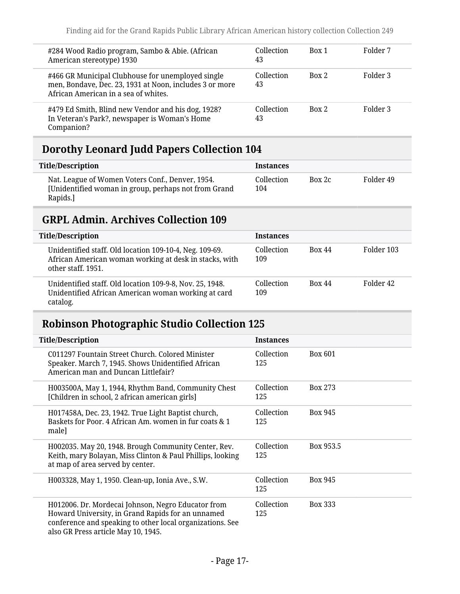| #284 Wood Radio program, Sambo & Abie. (African<br>American stereotype) 1930                                                                         | Collection<br>43 | Box 1 | Folder 7 |
|------------------------------------------------------------------------------------------------------------------------------------------------------|------------------|-------|----------|
| #466 GR Municipal Clubhouse for unemployed single<br>men, Bondave, Dec. 23, 1931 at Noon, includes 3 or more<br>African American in a sea of whites. | Collection<br>43 | Box 2 | Folder 3 |
| #479 Ed Smith, Blind new Vendor and his dog, 1928?<br>In Veteran's Park?, newspaper is Woman's Home<br>Companion?                                    | Collection<br>43 | Box 2 | Folder 3 |

# <span id="page-16-0"></span>**Dorothy Leonard Judd Papers Collection 104**

| <b>Title/Description</b>                                                                                             | <b>Instances</b>  |        |           |
|----------------------------------------------------------------------------------------------------------------------|-------------------|--------|-----------|
| Nat. League of Women Voters Conf., Denver, 1954.<br>[Unidentified woman in group, perhaps not from Grand<br>Rapids.] | Collection<br>104 | Box 2c | Folder 49 |

# <span id="page-16-1"></span>**GRPL Admin. Archives Collection 109**

| <b>Title/Description</b>                                                                                                                | <b>Instances</b>  |               |            |
|-----------------------------------------------------------------------------------------------------------------------------------------|-------------------|---------------|------------|
| Unidentified staff. Old location 109-10-4, Neg. 109-69.<br>African American woman working at desk in stacks, with<br>other staff, 1951. | Collection<br>109 | <b>Box 44</b> | Folder 103 |
| Unidentified staff. Old location 109-9-8, Nov. 25, 1948.<br>Unidentified African American woman working at card<br>catalog.             | Collection<br>109 | <b>Box 44</b> | Folder 42  |

# <span id="page-16-2"></span>**Robinson Photographic Studio Collection 125**

| <b>Title/Description</b>                                                                                                                                                                                    | <b>Instances</b>  |                |
|-------------------------------------------------------------------------------------------------------------------------------------------------------------------------------------------------------------|-------------------|----------------|
| C011297 Fountain Street Church, Colored Minister<br>Speaker. March 7, 1945. Shows Unidentified African<br>American man and Duncan Littlefair?                                                               | Collection<br>125 | <b>Box 601</b> |
| H003500A, May 1, 1944, Rhythm Band, Community Chest<br>[Children in school, 2 african american girls]                                                                                                       | Collection<br>125 | Box 273        |
| H017458A, Dec. 23, 1942. True Light Baptist church,<br>Baskets for Poor, 4 African Am, women in fur coats & 1<br>male]                                                                                      | Collection<br>125 | Box 945        |
| H002035. May 20, 1948. Brough Community Center, Rev.<br>Keith, mary Bolayan, Miss Clinton & Paul Phillips, looking<br>at map of area served by center.                                                      | Collection<br>125 | Box 953.5      |
| H003328, May 1, 1950. Clean-up, Ionia Ave., S.W.                                                                                                                                                            | Collection<br>125 | <b>Box 945</b> |
| H012006. Dr. Mordecai Johnson, Negro Educator from<br>Howard University, in Grand Rapids for an unnamed<br>conference and speaking to other local organizations. See<br>also GR Press article May 10, 1945. | Collection<br>125 | <b>Box 333</b> |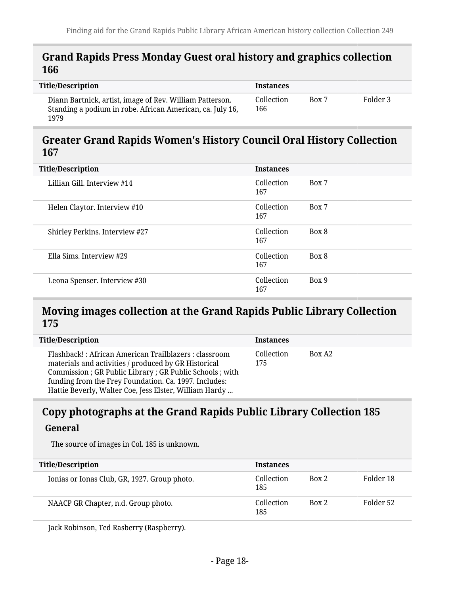#### <span id="page-17-0"></span>**Grand Rapids Press Monday Guest oral history and graphics collection 166**

| <b>Title/Description</b>                                                                                                      | <b>Instances</b>  |       |          |
|-------------------------------------------------------------------------------------------------------------------------------|-------------------|-------|----------|
| Diann Bartnick, artist, image of Rev. William Patterson.<br>Standing a podium in robe. African American, ca. July 16,<br>1979 | Collection<br>166 | Box 7 | Folder 3 |

#### <span id="page-17-1"></span>**Greater Grand Rapids Women's History Council Oral History Collection 167**

| <b>Title/Description</b>       | <b>Instances</b>  |       |
|--------------------------------|-------------------|-------|
| Lillian Gill, Interview #14    | Collection<br>167 | Box 7 |
| Helen Claytor. Interview #10   | Collection<br>167 | Box 7 |
| Shirley Perkins. Interview #27 | Collection<br>167 | Box 8 |
| Ella Sims, Interview #29       | Collection<br>167 | Box 8 |
| Leona Spenser. Interview #30   | Collection<br>167 | Box 9 |

### <span id="page-17-2"></span>**Moving images collection at the Grand Rapids Public Library Collection 175**

| <b>Title/Description</b>                                                                                                                                                                                                                                                                      | <b>Instances</b>  |                    |
|-----------------------------------------------------------------------------------------------------------------------------------------------------------------------------------------------------------------------------------------------------------------------------------------------|-------------------|--------------------|
| Flashback!: African American Trailblazers : classroom<br>materials and activities / produced by GR Historical<br>Commission ; GR Public Library ; GR Public Schools ; with<br>funding from the Frey Foundation. Ca. 1997. Includes:<br>Hattie Beverly, Walter Coe, Jess Elster, William Hardy | Collection<br>175 | Box A <sub>2</sub> |

# <span id="page-17-3"></span>**Copy photographs at the Grand Rapids Public Library Collection 185 General**

The source of images in Col. 185 is unknown.

| <b>Title/Description</b>                     | <b>Instances</b>  |       |           |
|----------------------------------------------|-------------------|-------|-----------|
| Ionias or Ionas Club, GR, 1927. Group photo. | Collection<br>185 | Box 2 | Folder 18 |
| NAACP GR Chapter, n.d. Group photo.          | Collection<br>185 | Box 2 | Folder 52 |

Jack Robinson, Ted Rasberry (Raspberry).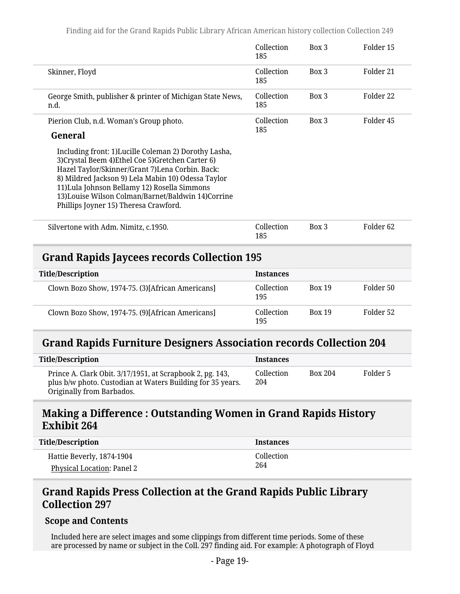|                                                                                                                                                                                                                                                                                                                                                                     | Collection<br>185 | $Box$ 3       | Folder 15            |
|---------------------------------------------------------------------------------------------------------------------------------------------------------------------------------------------------------------------------------------------------------------------------------------------------------------------------------------------------------------------|-------------------|---------------|----------------------|
| Skinner, Floyd                                                                                                                                                                                                                                                                                                                                                      | Collection<br>185 | Box 3         | Folder 21            |
| George Smith, publisher & printer of Michigan State News,<br>n.d.                                                                                                                                                                                                                                                                                                   | Collection<br>185 | Box 3         | Folder 22            |
| Pierion Club, n.d. Woman's Group photo.<br>General                                                                                                                                                                                                                                                                                                                  | Collection<br>185 | Box 3         | Folder 45            |
| Including front: 1)Lucille Coleman 2) Dorothy Lasha,<br>3) Crystal Beem 4) Ethel Coe 5) Gretchen Carter 6)<br>Hazel Taylor/Skinner/Grant 7)Lena Corbin. Back:<br>8) Mildred Jackson 9) Lela Mabin 10) Odessa Taylor<br>11) Lula Johnson Bellamy 12) Rosella Simmons<br>13) Louise Wilson Colman/Barnet/Baldwin 14) Corrine<br>Phillips Joyner 15) Theresa Crawford. |                   |               |                      |
| Silvertone with Adm. Nimitz, c.1950.                                                                                                                                                                                                                                                                                                                                | Collection<br>185 | Box 3         | Folder <sub>62</sub> |
| <b>Grand Rapids Jaycees records Collection 195</b>                                                                                                                                                                                                                                                                                                                  |                   |               |                      |
| <b>Title/Description</b>                                                                                                                                                                                                                                                                                                                                            | <b>Instances</b>  |               |                      |
| Clown Bozo Show, 1974-75. (3)[African Americans]                                                                                                                                                                                                                                                                                                                    | Collection<br>195 | <b>Box 19</b> | Folder 50            |

# <span id="page-18-1"></span>**Grand Rapids Furniture Designers Association records Collection 204**

<span id="page-18-0"></span>Clown Bozo Show, 1974-75. (9)[African Americans] Collection

| <b>Title/Description</b>                                                                                                                             | <b>Instances</b>  |                |          |
|------------------------------------------------------------------------------------------------------------------------------------------------------|-------------------|----------------|----------|
| Prince A. Clark Obit. 3/17/1951, at Scrapbook 2, pg. 143,<br>plus b/w photo. Custodian at Waters Building for 35 years.<br>Originally from Barbados. | Collection<br>204 | <b>Box 204</b> | Folder 5 |

195

Box 19 Folder 52

# <span id="page-18-2"></span>**Making a Difference : Outstanding Women in Grand Rapids History Exhibit 264**

| <b>Title/Description</b>   | Instances  |
|----------------------------|------------|
| Hattie Beverly, 1874-1904  | Collection |
| Physical Location: Panel 2 | 264        |

# <span id="page-18-3"></span>**Grand Rapids Press Collection at the Grand Rapids Public Library Collection 297**

#### **Scope and Contents**

Included here are select images and some clippings from different time periods. Some of these are processed by name or subject in the Coll. 297 finding aid. For example: A photograph of Floyd